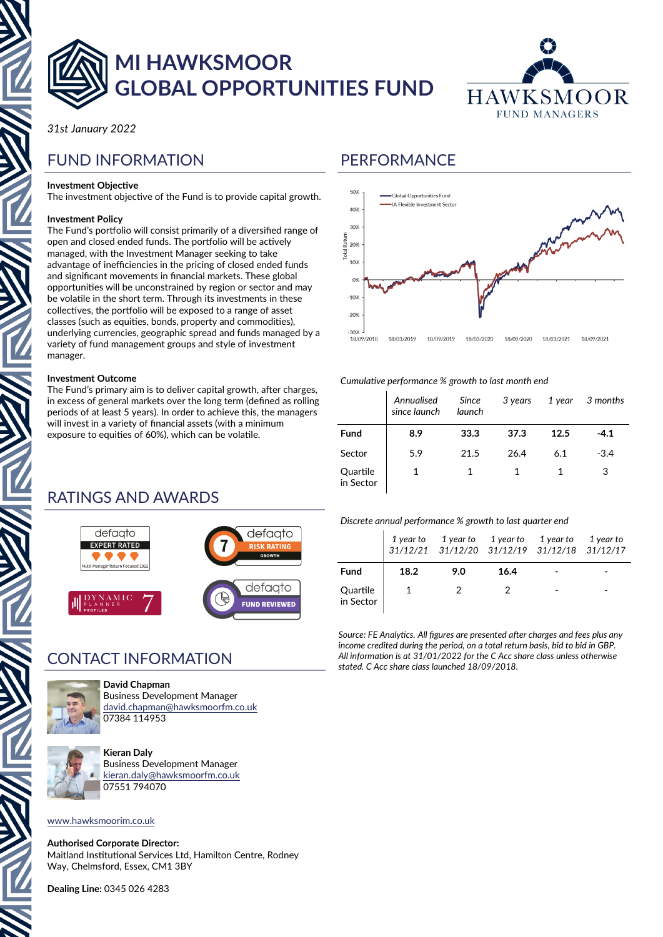

# **MI HAWKSMOOR GLOBAL OPPORTUNITIES FUND**



*31st January 2022*

## FUND INFORMATION

### **Investment Objective**

The investment objective of the Fund is to provide capital growth.

### **Investment Policy**

The Fund's portfolio will consist primarily of a diversified range of open and closed ended funds. The portfolio will be actively managed, with the Investment Manager seeking to take advantage of inefficiencies in the pricing of closed ended funds and significant movements in financial markets. These global opportunities will be unconstrained by region or sector and may be volatile in the short term. Through its investments in these collectives, the portfolio will be exposed to a range of asset classes (such as equities, bonds, property and commodities), underlying currencies, geographic spread and funds managed by a variety of fund management groups and style of investment manager.

### **Investment Outcome**

The Fund's primary aim is to deliver capital growth, after charges, in excess of general markets over the long term (defined as rolling periods of at least 5 years). In order to achieve this, the managers will invest in a variety of financial assets (with a minimum exposure to equities of 60%), which can be volatile.

## **PERFORMANCE**



### *Cumulative performance % growth to last month end*

|                       | Annualised<br>since launch | Since<br>launch | 3 years |      | 1 year 3 months |
|-----------------------|----------------------------|-----------------|---------|------|-----------------|
| <b>Fund</b>           | 8.9                        | 33.3            | 37.3    | 12.5 | $-4.1$          |
| Sector                | 5.9                        | 21.5            | 26.4    | 6.1  | $-3.4$          |
| Quartile<br>in Sector |                            |                 |         |      | 3               |

## RATINGS AND AWARDS



## CONTACT INFORMATION



**David Chapman**

Business Development Manager [david.chapman@hawksmoorfm.co.uk](mailto:david.chapman@hawksmoorfm.co.uk) 07384 114953



**Kieran Daly** Business Development Manager [kieran.daly@hawksmoorfm.co.uk](mailto:david.chapman@hawksmoorfm.co.uk) 07551 794070

### [www.hawksmoorim.co.uk](http://www.hawksmoorim.co.uk)

**Authorised Corporate Director:** Maitland Institutional Services Ltd, Hamilton Centre, Rodney Way, Chelmsford, Essex, CM1 3BY

**Dealing Line:** 0345 026 4283

### *Discrete annual performance % growth to last quarter end*

|                       |      | 1 year to 1 year to 1 year to<br>31/12/21 31/12/20 31/12/19 31/12/18 31/12/17 |      | 1 year to | 1 year to |
|-----------------------|------|-------------------------------------------------------------------------------|------|-----------|-----------|
| <b>Fund</b>           | 18.2 | 9.0                                                                           | 16.4 |           |           |
| Quartile<br>in Sector |      |                                                                               |      |           | -         |

*Source: FE Analytics. All figures are presented after charges and fees plus any income credited during the period, on a total return basis, bid to bid in GBP. All information is at 31/01/2022 for the C Acc share class unless otherwise stated. C Acc share class launched 18/09/2018.*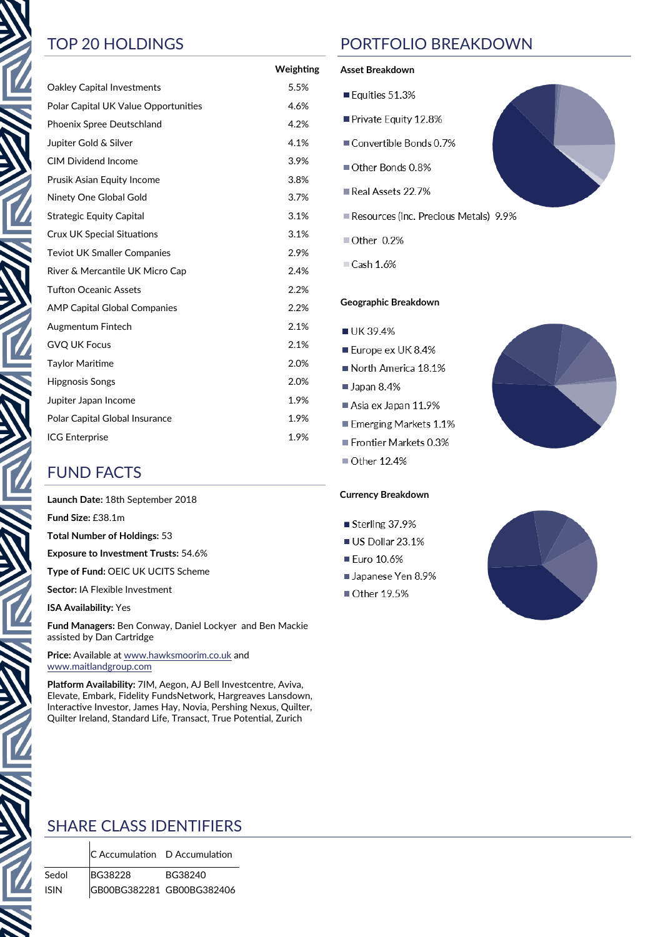|                                      | Weighting |
|--------------------------------------|-----------|
| Oakley Capital Investments           | 5.5%      |
| Polar Capital UK Value Opportunities | 4.6%      |
| Phoenix Spree Deutschland            | 4.2%      |
| Jupiter Gold & Silver                | 4.1%      |
| <b>CIM Dividend Income</b>           | 3.9%      |
| Prusik Asian Equity Income           | 3.8%      |
| Ninety One Global Gold               | 3.7%      |
| <b>Strategic Equity Capital</b>      | 3.1%      |
| <b>Crux UK Special Situations</b>    | 3.1%      |
| <b>Teviot UK Smaller Companies</b>   | 2.9%      |
| River & Mercantile UK Micro Cap      | 2.4%      |
| <b>Tufton Oceanic Assets</b>         | 2.2%      |
| <b>AMP Capital Global Companies</b>  | 2.2%      |
| Augmentum Fintech                    | 2.1%      |
| <b>GVQ UK Focus</b>                  | 2.1%      |
| <b>Taylor Maritime</b>               | 2.0%      |
| <b>Hipgnosis Songs</b>               | 2.0%      |
| Jupiter Japan Income                 | 1.9%      |
| Polar Capital Global Insurance       | 1.9%      |
| <b>ICG Enterprise</b>                | 1.9%      |

## FUND FACTS

**Launch Date:** 18th September 2018

**Fund Size:** £38.1m

**Total Number of Holdings:** 53

**Exposure to Investment Trusts:** 54.6%

**Type of Fund:** OEIC UK UCITS Scheme

**Sector:** IA Flexible Investment

**ISA Availability:** Yes

**Fund Managers:** Ben Conway, Daniel Lockyer and Ben Mackie assisted by Dan Cartridge

**Price:** Available at [www.hawksmoorim.co.uk](http://www.hawksmoorim.co.uk) and [www.maitlandgroup.com](http://www.maitlandgroup.com)

**Platform Availability:** 7IM, Aegon, AJ Bell Investcentre, Aviva, Elevate, Embark, Fidelity FundsNetwork, Hargreaves Lansdown, Interactive Investor, James Hay, Novia, Pershing Nexus, Quilter, Quilter Ireland, Standard Life, Transact, True Potential, Zurich

## TOP 20 HOLDINGS PORTFOLIO BREAKDOWN

### **Asset Breakdown**

- Equities 51.3%
- Private Equity 12.8%
- Convertible Bonds 0.7%
- Other Bonds 0.8%
- Real Assets 22.7%
- Resources (inc. Precious Metals) 9.9%
- Other 0.2%

 $\Box$  Cash 1.6%

### **Geographic Breakdown**

- UK 39.4%
- Europe ex UK 8.4%
- North America 18.1%
- $\blacksquare$  Japan 8.4%
- Asia ex Japan 11.9%
- Emerging Markets 1.1%
- Frontier Markets 0.3%
- Other 12.4%

### **Currency Breakdown**

- Sterling 37.9%
- US Dollar 23.1%
- Euro 10.6%
- Japanese Yen 8.9%
- Other 19.5%





## SHARE CLASS IDENTIFIERS

C Accumulation D Accumulation

Sedol BG38228 BG38240 ISIN GB00BG382281 GB00BG382406